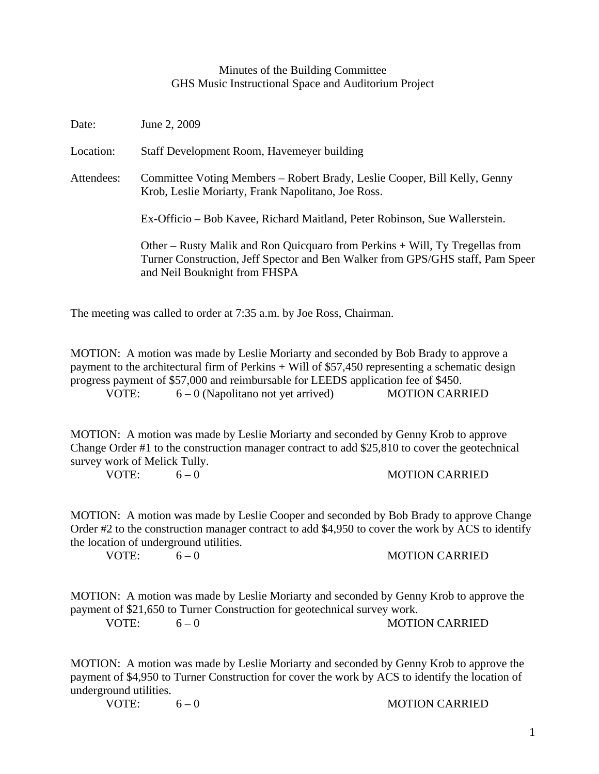## Minutes of the Building Committee GHS Music Instructional Space and Auditorium Project

| Date:      | June 2, 2009                                                                                                                                                                                    |
|------------|-------------------------------------------------------------------------------------------------------------------------------------------------------------------------------------------------|
| Location:  | Staff Development Room, Havemeyer building                                                                                                                                                      |
| Attendees: | Committee Voting Members – Robert Brady, Leslie Cooper, Bill Kelly, Genny<br>Krob, Leslie Moriarty, Frank Napolitano, Joe Ross.                                                                 |
|            | Ex-Officio – Bob Kavee, Richard Maitland, Peter Robinson, Sue Wallerstein.                                                                                                                      |
|            | Other – Rusty Malik and Ron Quicquaro from Perkins + Will, Ty Tregellas from<br>Turner Construction, Jeff Spector and Ben Walker from GPS/GHS staff, Pam Speer<br>and Neil Bouknight from FHSPA |

The meeting was called to order at 7:35 a.m. by Joe Ross, Chairman.

MOTION: A motion was made by Leslie Moriarty and seconded by Bob Brady to approve a payment to the architectural firm of Perkins + Will of \$57,450 representing a schematic design progress payment of \$57,000 and reimbursable for LEEDS application fee of \$450. VOTE:  $6 - 0$  (Napolitano not yet arrived) MOTION CARRIED

MOTION: A motion was made by Leslie Moriarty and seconded by Genny Krob to approve Change Order #1 to the construction manager contract to add \$25,810 to cover the geotechnical survey work of Melick Tully.

VOTE:  $6-0$  MOTION CARRIED

MOTION: A motion was made by Leslie Cooper and seconded by Bob Brady to approve Change Order #2 to the construction manager contract to add \$4,950 to cover the work by ACS to identify the location of underground utilities.

VOTE:  $6-0$  MOTION CARRIED

MOTION: A motion was made by Leslie Moriarty and seconded by Genny Krob to approve the payment of \$21,650 to Turner Construction for geotechnical survey work. VOTE:  $6-0$  MOTION CARRIED

MOTION: A motion was made by Leslie Moriarty and seconded by Genny Krob to approve the payment of \$4,950 to Turner Construction for cover the work by ACS to identify the location of underground utilities.

VOTE:  $6-0$  MOTION CARRIED